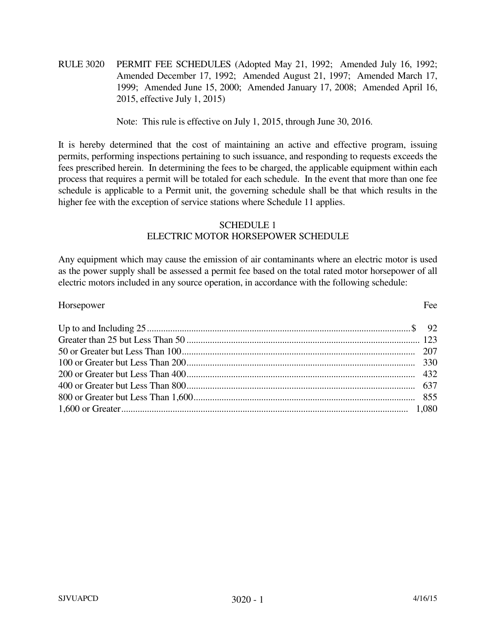RULE 3020 PERMIT FEE SCHEDULES (Adopted May 21, 1992; Amended July 16, 1992; Amended December 17, 1992; Amended August 21, 1997; Amended March 17, 1999; Amended June 15, 2000; Amended January 17, 2008; Amended April 16, 2015, effective July 1, 2015)

Note: This rule is effective on July 1, 2015, through June 30, 2016.

It is hereby determined that the cost of maintaining an active and effective program, issuing permits, performing inspections pertaining to such issuance, and responding to requests exceeds the fees prescribed herein. In determining the fees to be charged, the applicable equipment within each process that requires a permit will be totaled for each schedule. In the event that more than one fee schedule is applicable to a Permit unit, the governing schedule shall be that which results in the higher fee with the exception of service stations where Schedule 11 applies.

## SCHEDULE 1 ELECTRIC MOTOR HORSEPOWER SCHEDULE

Any equipment which may cause the emission of air contaminants where an electric motor is used as the power supply shall be assessed a permit fee based on the total rated motor horsepower of all electric motors included in any source operation, in accordance with the following schedule:

| Horsepower | Fee |
|------------|-----|
|            |     |
|            |     |
|            |     |
|            |     |
|            |     |
|            |     |
|            |     |
|            |     |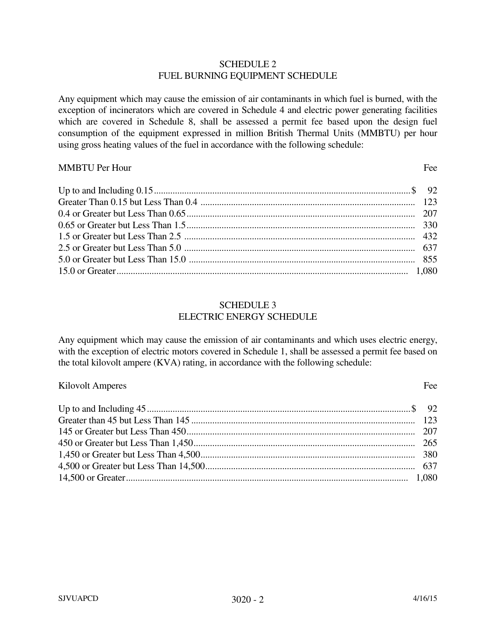### SCHEDULE 2 FUEL BURNING EQUIPMENT SCHEDULE

Any equipment which may cause the emission of air contaminants in which fuel is burned, with the exception of incinerators which are covered in Schedule 4 and electric power generating facilities which are covered in Schedule 8, shall be assessed a permit fee based upon the design fuel consumption of the equipment expressed in million British Thermal Units (MMBTU) per hour using gross heating values of the fuel in accordance with the following schedule:

### MMBTU Per Hour Fee

| 1,080 correct material continuum contract and the correct of the correct of the correct of the correct of the correct of the correct of the correct of the correct of the correct of the correct of the correct of the correct |  |
|--------------------------------------------------------------------------------------------------------------------------------------------------------------------------------------------------------------------------------|--|

#### SCHEDULE 3 ELECTRIC ENERGY SCHEDULE

Any equipment which may cause the emission of air contaminants and which uses electric energy, with the exception of electric motors covered in Schedule 1, shall be assessed a permit fee based on the total kilovolt ampere (KVA) rating, in accordance with the following schedule:

### Kilovolt Amperes Fee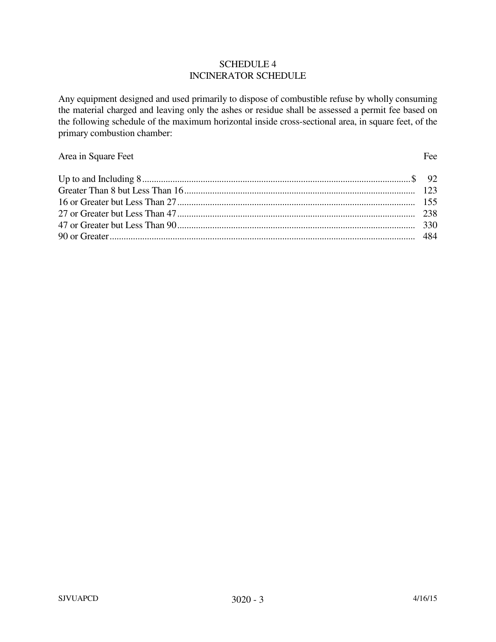### SCHEDULE 4 INCINERATOR SCHEDULE

Any equipment designed and used primarily to dispose of combustible refuse by wholly consuming the material charged and leaving only the ashes or residue shall be assessed a permit fee based on the following schedule of the maximum horizontal inside cross-sectional area, in square feet, of the primary combustion chamber:

# Area in Square Feet Fee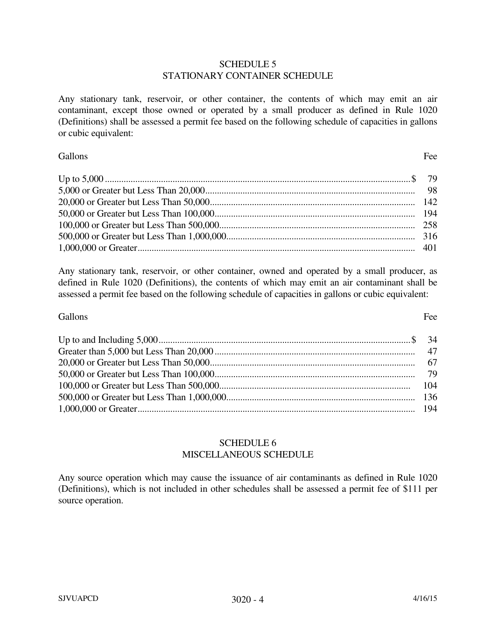### SCHEDULE 5 STATIONARY CONTAINER SCHEDULE

Any stationary tank, reservoir, or other container, the contents of which may emit an air contaminant, except those owned or operated by a small producer as defined in Rule 1020 (Definitions) shall be assessed a permit fee based on the following schedule of capacities in gallons or cubic equivalent:

## Gallons Fee

Any stationary tank, reservoir, or other container, owned and operated by a small producer, as defined in Rule 1020 (Definitions), the contents of which may emit an air contaminant shall be assessed a permit fee based on the following schedule of capacities in gallons or cubic equivalent:

## Gallons Fee

## SCHEDULE 6 MISCELLANEOUS SCHEDULE

Any source operation which may cause the issuance of air contaminants as defined in Rule 1020 (Definitions), which is not included in other schedules shall be assessed a permit fee of \$111 per source operation.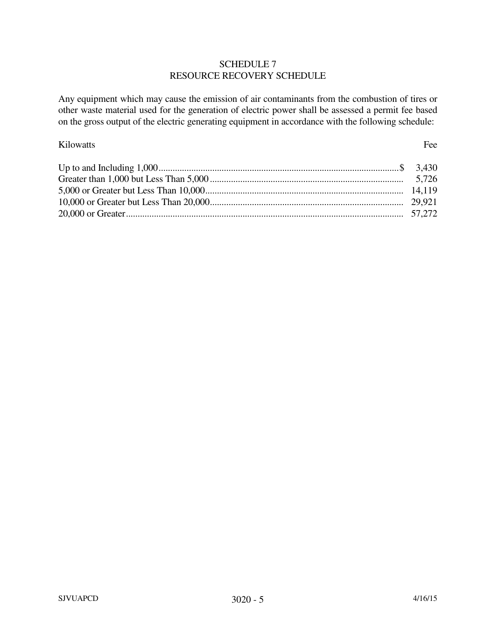## SCHEDULE 7 RESOURCE RECOVERY SCHEDULE

Any equipment which may cause the emission of air contaminants from the combustion of tires or other waste material used for the generation of electric power shall be assessed a permit fee based on the gross output of the electric generating equipment in accordance with the following schedule:

## Kilowatts Fee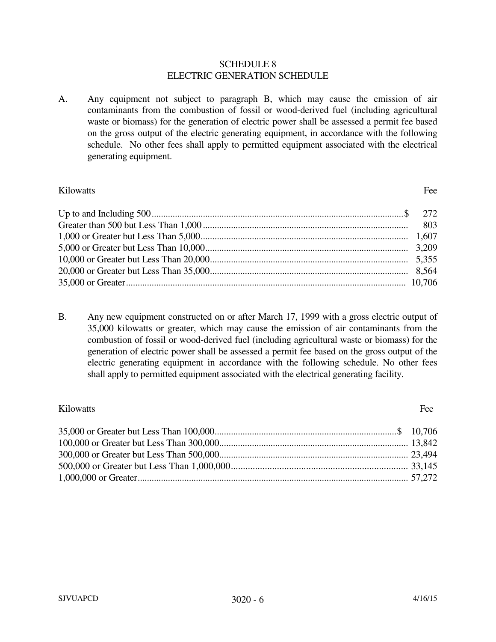#### SCHEDULE 8 ELECTRIC GENERATION SCHEDULE

A. Any equipment not subject to paragraph B, which may cause the emission of air contaminants from the combustion of fossil or wood-derived fuel (including agricultural waste or biomass) for the generation of electric power shall be assessed a permit fee based on the gross output of the electric generating equipment, in accordance with the following schedule. No other fees shall apply to permitted equipment associated with the electrical generating equipment.

## Kilowatts Fee

B. Any new equipment constructed on or after March 17, 1999 with a gross electric output of 35,000 kilowatts or greater, which may cause the emission of air contaminants from the combustion of fossil or wood-derived fuel (including agricultural waste or biomass) for the generation of electric power shall be assessed a permit fee based on the gross output of the electric generating equipment in accordance with the following schedule. No other fees shall apply to permitted equipment associated with the electrical generating facility.

## Kilowatts Fee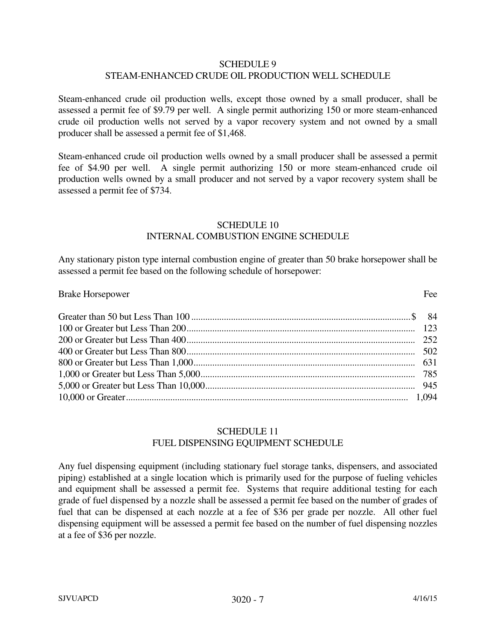### SCHEDULE 9 STEAM-ENHANCED CRUDE OIL PRODUCTION WELL SCHEDULE

Steam-enhanced crude oil production wells, except those owned by a small producer, shall be assessed a permit fee of \$9.79 per well. A single permit authorizing 150 or more steam-enhanced crude oil production wells not served by a vapor recovery system and not owned by a small producer shall be assessed a permit fee of \$1,468.

Steam-enhanced crude oil production wells owned by a small producer shall be assessed a permit fee of \$4.90 per well. A single permit authorizing 150 or more steam-enhanced crude oil production wells owned by a small producer and not served by a vapor recovery system shall be assessed a permit fee of \$734.

## SCHEDULE 10 INTERNAL COMBUSTION ENGINE SCHEDULE

Any stationary piston type internal combustion engine of greater than 50 brake horsepower shall be assessed a permit fee based on the following schedule of horsepower:

#### Brake Horsepower Fee

## SCHEDULE 11 FUEL DISPENSING EQUIPMENT SCHEDULE

Any fuel dispensing equipment (including stationary fuel storage tanks, dispensers, and associated piping) established at a single location which is primarily used for the purpose of fueling vehicles and equipment shall be assessed a permit fee. Systems that require additional testing for each grade of fuel dispensed by a nozzle shall be assessed a permit fee based on the number of grades of fuel that can be dispensed at each nozzle at a fee of \$36 per grade per nozzle. All other fuel dispensing equipment will be assessed a permit fee based on the number of fuel dispensing nozzles at a fee of \$36 per nozzle.